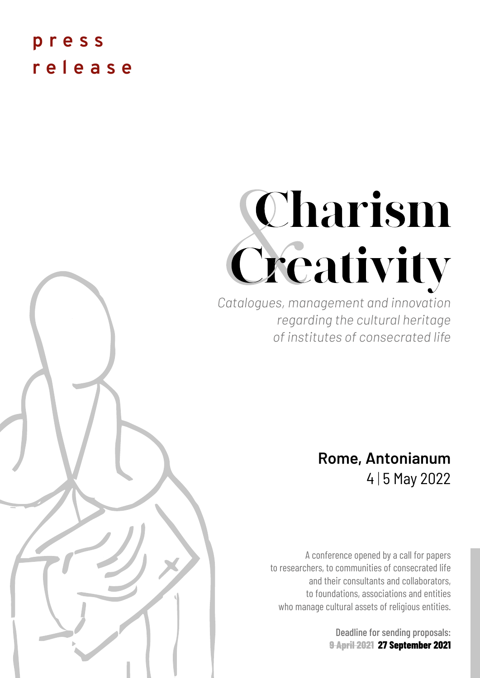# **press release**

# Charism Creativity

*Catalogues, management and innovation regarding the cultural heritage of institutes of consecrated life*

# **Rome, Antonianum**  4 | 5 May 2022

A conference opened by a call for papers to researchers, to communities of consecrated life and their consultants and collaborators, to foundations, associations and entities who manage cultural assets of religious entities.

> Deadline for sending proposals: **9 April 2021 27 September 2021**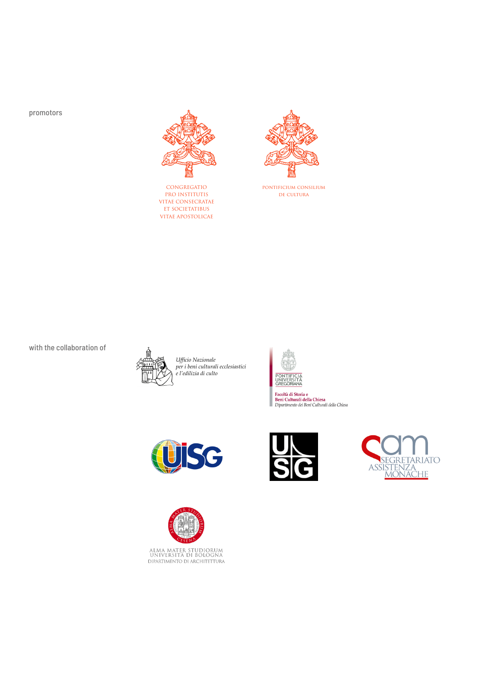promotors



CONGREGATIO PRO INSTITUTIS VITAE CONSECRATAE ET SOCIETATIBUS VITAE APOSTOLICAE



pontificium consilium de cultura

with the collaboration of



*Ufficio Nazionale per i beni culturali ecclesiastici e l'edilizia di culto*









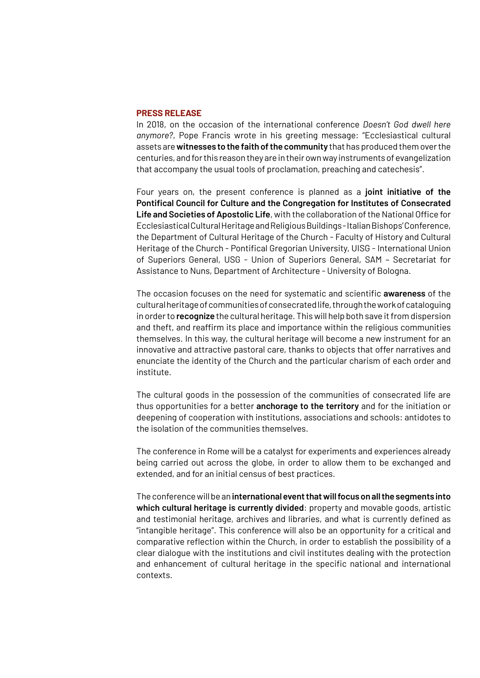#### **PRESS RELEASE**

In 2018, on the occasion of the international conference *Doesn't God dwell here anymore?*, Pope Francis wrote in his greeting message: "Ecclesiastical cultural assets are **witnesses to the faith of the community** that has produced them over the centuries, and for this reason they are in their own way instruments of evangelization that accompany the usual tools of proclamation, preaching and catechesis".

Four years on, the present conference is planned as a **joint initiative of the Pontifical Council for Culture and the Congregation for Institutes of Consecrated Life and Societies of Apostolic Life**, with the collaboration of the National Office for Ecclesiastical Cultural Heritage and Religious Buildings - Italian Bishops' Conference, the Department of Cultural Heritage of the Church - Faculty of History and Cultural Heritage of the Church - Pontifical Gregorian University, UISG - International Union of Superiors General, USG - Union of Superiors General, SAM – Secretariat for Assistance to Nuns, Department of Architecture - University of Bologna.

The occasion focuses on the need for systematic and scientific **awareness** of the cultural heritage of communities of consecrated life, through the work of cataloguing in order to **recognize** the cultural heritage. This will help both save it from dispersion and theft, and reaffirm its place and importance within the religious communities themselves. In this way, the cultural heritage will become a new instrument for an innovative and attractive pastoral care, thanks to objects that offer narratives and enunciate the identity of the Church and the particular charism of each order and institute.

The cultural goods in the possession of the communities of consecrated life are thus opportunities for a better **anchorage to the territory** and for the initiation or deepening of cooperation with institutions, associations and schools: antidotes to the isolation of the communities themselves.

The conference in Rome will be a catalyst for experiments and experiences already being carried out across the globe, in order to allow them to be exchanged and extended, and for an initial census of best practices.

The conference will be an **international event that will focus on all the segments into which cultural heritage is currently divided**: property and movable goods, artistic and testimonial heritage, archives and libraries, and what is currently defined as "intangible heritage". This conference will also be an opportunity for a critical and comparative reflection within the Church, in order to establish the possibility of a clear dialogue with the institutions and civil institutes dealing with the protection and enhancement of cultural heritage in the specific national and international contexts.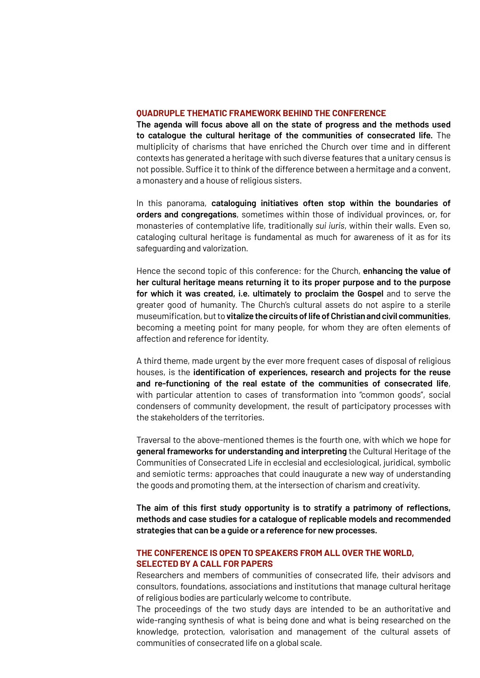#### **QUADRUPLE THEMATIC FRAMEWORK BEHIND THE CONFERENCE**

**The agenda will focus above all on the state of progress and the methods used to catalogue the cultural heritage of the communities of consecrated life.** The multiplicity of charisms that have enriched the Church over time and in different contexts has generated a heritage with such diverse features that a unitary census is not possible. Suffice it to think of the difference between a hermitage and a convent, a monastery and a house of religious sisters.

In this panorama, **cataloguing initiatives often stop within the boundaries of orders and congregations**, sometimes within those of individual provinces, or, for monasteries of contemplative life, traditionally *sui iuris*, within their walls. Even so, cataloging cultural heritage is fundamental as much for awareness of it as for its safeguarding and valorization.

Hence the second topic of this conference: for the Church, **enhancing the value of her cultural heritage means returning it to its proper purpose and to the purpose for which it was created, i.e. ultimately to proclaim the Gospel** and to serve the greater good of humanity. The Church's cultural assets do not aspire to a sterile museumification, but to **vitalize the circuits of life of Christian and civil communities**, becoming a meeting point for many people, for whom they are often elements of affection and reference for identity.

A third theme, made urgent by the ever more frequent cases of disposal of religious houses, is the **identification of experiences, research and projects for the reuse and re-functioning of the real estate of the communities of consecrated life**, with particular attention to cases of transformation into "common goods", social condensers of community development, the result of participatory processes with the stakeholders of the territories.

Traversal to the above-mentioned themes is the fourth one, with which we hope for **general frameworks for understanding and interpreting** the Cultural Heritage of the Communities of Consecrated Life in ecclesial and ecclesiological, juridical, symbolic and semiotic terms: approaches that could inaugurate a new way of understanding the goods and promoting them, at the intersection of charism and creativity.

**The aim of this first study opportunity is to stratify a patrimony of reflections, methods and case studies for a catalogue of replicable models and recommended strategies that can be a guide or a reference for new processes.**

# **THE CONFERENCE IS OPEN TO SPEAKERS FROM ALL OVER THE WORLD, SELECTED BY A CALL FOR PAPERS**

Researchers and members of communities of consecrated life, their advisors and consultors, foundations, associations and institutions that manage cultural heritage of religious bodies are particularly welcome to contribute.

The proceedings of the two study days are intended to be an authoritative and wide-ranging synthesis of what is being done and what is being researched on the knowledge, protection, valorisation and management of the cultural assets of communities of consecrated life on a global scale.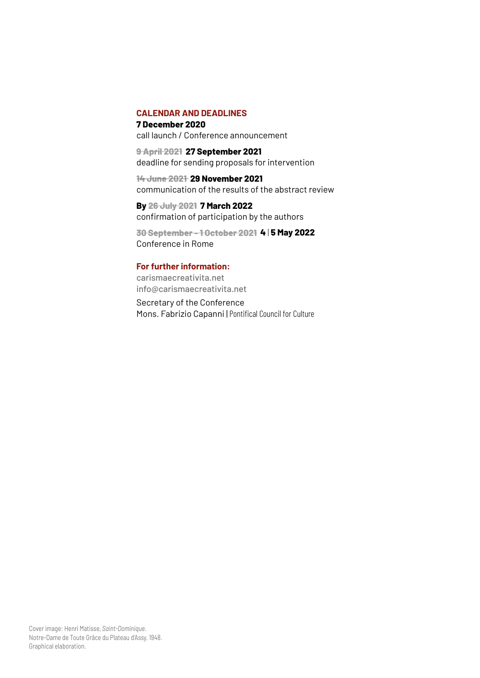# **CALENDAR AND DEADLINES**

**7 December 2020** call launch / Conference announcement

**9 April 2021 27 September 2021** deadline for sending proposals for intervention

**14 June 2021 29 November 2021** communication of the results of the abstract review

**By 26 July 2021 7 March 2022** confirmation of participation by the authors

**30 September - 1 October 2021 4** | **5 May 2022** Conference in Rome

# **For further information:**

[carismaecreativita.net](http://carismaecreativita.net) [info@carismaecreativita.net](mailto:info%40carismaecreativita.net%20?subject=)

Secretary of the Conference Mons. Fabrizio Capanni | Pontifical Council for Culture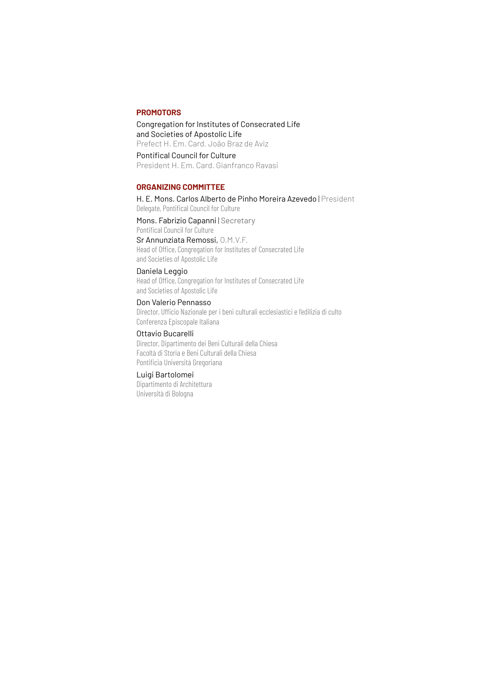## **PROMOTORS**

Congregation for Institutes of Consecrated Life and Societies of Apostolic Life Prefect H. Em. Card. João Braz de Aviz

Pontifical Council for Culture President H. Em. Card. Gianfranco Ravasi

#### **ORGANIZING COMMITTEE**

H. E. Mons. Carlos Alberto de Pinho Moreira Azevedo | President Delegate, Pontifical Council for Culture

Mons. Fabrizio Capanni | Secretary Pontifical Council for Culture Sr Annunziata Remossi, O.M.V.F.

Head of Office, Congregation for Institutes of Consecrated Life and Societies of Apostolic Life

# Daniela Leggio

Head of Office, Congregation for Institutes of Consecrated Life and Societies of Apostolic Life

#### Don Valerio Pennasso

Director, Ufficio Nazionale per i beni culturali ecclesiastici e l'edilizia di culto Conferenza Episcopale Italiana

Ottavio Bucarelli Director, Dipartimento dei Beni Culturali della Chiesa

Facoltà di Storia e Beni Culturali della Chiesa Pontificia Università Gregoriana

# Luigi Bartolomei

Dipartimento di Architettura Università di Bologna